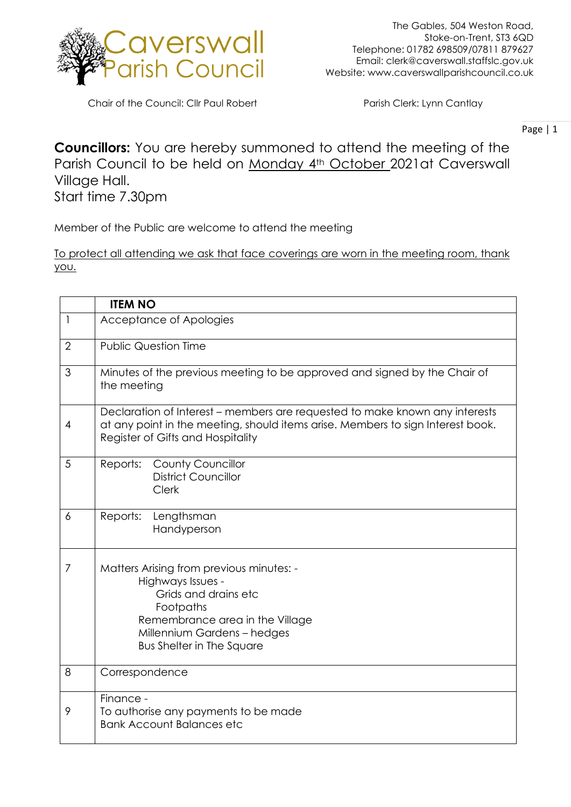

Chair of the Council: Cllr Paul Robert Parish Clerk: Lynn Cantlay

Page | 1

## **Councillors:** You are hereby summoned to attend the meeting of the Parish Council to be held on Monday 4th October 2021at Caverswall Village Hall. Start time 7.30pm

Member of the Public are welcome to attend the meeting

To protect all attending we ask that face coverings are worn in the meeting room, thank you.

|                | <b>ITEM NO</b>                                                                                                                                                                                           |
|----------------|----------------------------------------------------------------------------------------------------------------------------------------------------------------------------------------------------------|
| $\mathbf{1}$   | Acceptance of Apologies                                                                                                                                                                                  |
| $\overline{2}$ | <b>Public Question Time</b>                                                                                                                                                                              |
| 3              | Minutes of the previous meeting to be approved and signed by the Chair of<br>the meeting                                                                                                                 |
| 4              | Declaration of Interest – members are requested to make known any interests<br>at any point in the meeting, should items arise. Members to sign Interest book.<br>Register of Gifts and Hospitality      |
| 5              | <b>County Councillor</b><br>Reports:<br><b>District Councillor</b><br>Clerk                                                                                                                              |
| 6              | Reports:<br>Lengthsman<br>Handyperson                                                                                                                                                                    |
| 7              | Matters Arising from previous minutes: -<br>Highways Issues -<br>Grids and drains etc<br>Footpaths<br>Remembrance area in the Village<br>Millennium Gardens - hedges<br><b>Bus Shelter in The Square</b> |
| 8              | Correspondence                                                                                                                                                                                           |
| 9              | Finance -<br>To authorise any payments to be made<br><b>Bank Account Balances etc</b>                                                                                                                    |